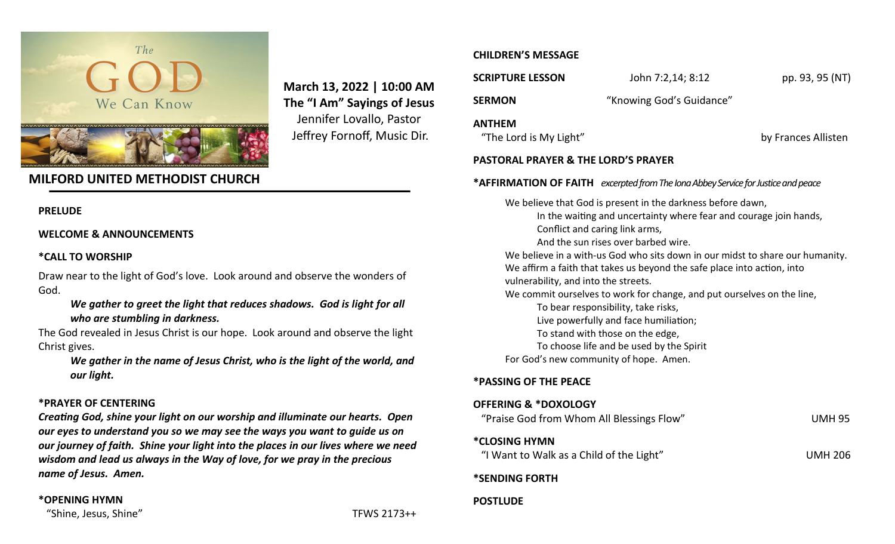

**MILFORD UNITED METHODIST CHURCH**

## **PRELUDE**

#### **WELCOME & ANNOUNCEMENTS**

### **\*CALL TO WORSHIP**

Draw near to the light of God's love. Look around and observe the wonders of God.

# *We gather to greet the light that reduces shadows. God is light for all who are stumbling in darkness.*

The God revealed in Jesus Christ is our hope. Look around and observe the light Christ gives.

*We gather in the name of Jesus Christ, who is the light of the world, and our light.*

## **\*PRAYER OF CENTERING**

*Creating God, shine your light on our worship and illuminate our hearts. Open our eyes to understand you so we may see the ways you want to guide us on our journey of faith. Shine your light into the places in our lives where we need wisdom and lead us always in the Way of love, for we pray in the precious name of Jesus. Amen.*

#### **\*OPENING HYMN**

"Shine, Jesus, Shine" TFWS 2173++

**March 13, 2022 | 10:00 AM The "I Am" Sayings of Jesus** Jennifer Lovallo, Pastor Jeffrey Fornoff, Music Dir.

## **CHILDREN'S MESSAGE**

| <b>SCRIPTURE LESSON</b>                                                      | John 7:2,14; 8:12                                                                                                                                                                                                                                                                                                                                                                                                                                                                                                                                                                                                                                         | pp. 93, 95 (NT)     |
|------------------------------------------------------------------------------|-----------------------------------------------------------------------------------------------------------------------------------------------------------------------------------------------------------------------------------------------------------------------------------------------------------------------------------------------------------------------------------------------------------------------------------------------------------------------------------------------------------------------------------------------------------------------------------------------------------------------------------------------------------|---------------------|
| <b>SERMON</b>                                                                | "Knowing God's Guidance"                                                                                                                                                                                                                                                                                                                                                                                                                                                                                                                                                                                                                                  |                     |
| <b>ANTHEM</b><br>"The Lord is My Light"                                      |                                                                                                                                                                                                                                                                                                                                                                                                                                                                                                                                                                                                                                                           | by Frances Allisten |
| <b>PASTORAL PRAYER &amp; THE LORD'S PRAYER</b>                               |                                                                                                                                                                                                                                                                                                                                                                                                                                                                                                                                                                                                                                                           |                     |
|                                                                              | *AFFIRMATION OF FAITH excerpted from The Iona Abbey Service for Justice and peace                                                                                                                                                                                                                                                                                                                                                                                                                                                                                                                                                                         |                     |
| vulnerability, and into the streets.                                         | We believe that God is present in the darkness before dawn,<br>In the waiting and uncertainty where fear and courage join hands,<br>Conflict and caring link arms,<br>And the sun rises over barbed wire.<br>We believe in a with-us God who sits down in our midst to share our humanity.<br>We affirm a faith that takes us beyond the safe place into action, into<br>We commit ourselves to work for change, and put ourselves on the line,<br>To bear responsibility, take risks,<br>Live powerfully and face humiliation;<br>To stand with those on the edge,<br>To choose life and be used by the Spirit<br>For God's new community of hope. Amen. |                     |
| <b><i>*PASSING OF THE PEACE</i></b>                                          |                                                                                                                                                                                                                                                                                                                                                                                                                                                                                                                                                                                                                                                           |                     |
| <b>OFFERING &amp; *DOXOLOGY</b><br>"Praise God from Whom All Blessings Flow" |                                                                                                                                                                                                                                                                                                                                                                                                                                                                                                                                                                                                                                                           | <b>UMH 95</b>       |
| *CLOSING HYMN<br>"I Want to Walk as a Child of the Light"                    |                                                                                                                                                                                                                                                                                                                                                                                                                                                                                                                                                                                                                                                           | <b>UMH 206</b>      |
| *SENDING FORTH                                                               |                                                                                                                                                                                                                                                                                                                                                                                                                                                                                                                                                                                                                                                           |                     |
| <b>POSTLUDE</b>                                                              |                                                                                                                                                                                                                                                                                                                                                                                                                                                                                                                                                                                                                                                           |                     |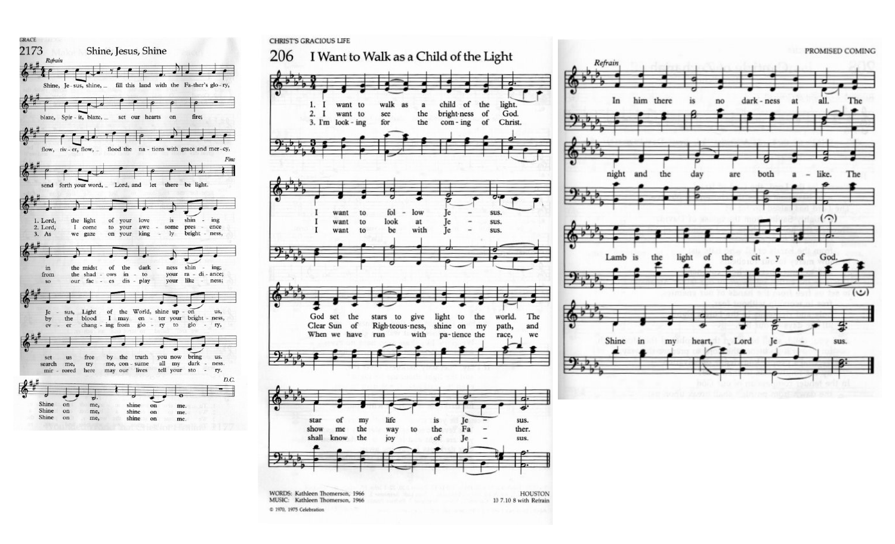



I Want to Walk as a Child of the Light

**CHRIST'S GRACIOUS LIFE** 

206